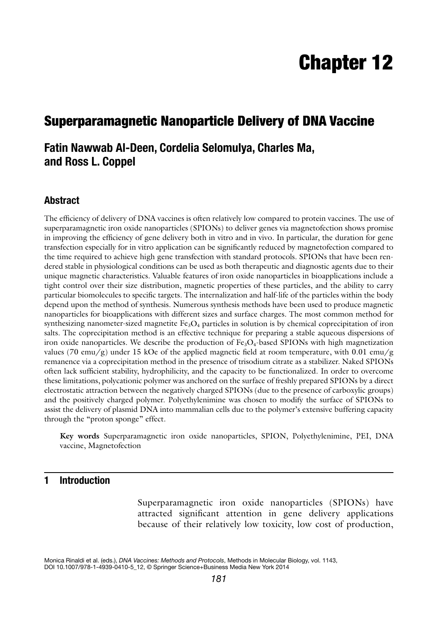# Chapter 12

# Superparamagnetic Nanoparticle Delivery of DNA Vaccine

# **Fatin Nawwab Al-Deen, Cordelia Selomulya, Charles Ma, and Ross L. Coppel**

# **Abstract**

The efficiency of delivery of DNA vaccines is often relatively low compared to protein vaccines. The use of superparamagnetic iron oxide nanoparticles (SPIONs) to deliver genes via magnetofection shows promise in improving the efficiency of gene delivery both in vitro and in vivo. In particular, the duration for gene transfection especially for in vitro application can be significantly reduced by magnetofection compared to the time required to achieve high gene transfection with standard protocols. SPIONs that have been rendered stable in physiological conditions can be used as both therapeutic and diagnostic agents due to their unique magnetic characteristics. Valuable features of iron oxide nanoparticles in bioapplications include a tight control over their size distribution, magnetic properties of these particles, and the ability to carry particular biomolecules to specific targets. The internalization and half-life of the particles within the body depend upon the method of synthesis. Numerous synthesis methods have been used to produce magnetic nanoparticles for bioapplications with different sizes and surface charges. The most common method for synthesizing nanometer-sized magnetite Fe<sub>3</sub>O<sub>4</sub> particles in solution is by chemical coprecipitation of iron salts. The coprecipitation method is an effective technique for preparing a stable aqueous dispersions of iron oxide nanoparticles. We describe the production of  $Fe<sub>3</sub>O<sub>4</sub>$ -based SPIONs with high magnetization values (70 emu/g) under 15 kOe of the applied magnetic field at room temperature, with 0.01 emu/g remanence via a coprecipitation method in the presence of trisodium citrate as a stabilizer. Naked SPIONs often lack sufficient stability, hydrophilicity, and the capacity to be functionalized. In order to overcome these limitations, polycationic polymer was anchored on the surface of freshly prepared SPIONs by a direct electrostatic attraction between the negatively charged SPIONs (due to the presence of carboxylic groups) and the positively charged polymer. Polyethylenimine was chosen to modify the surface of SPIONs to assist the delivery of plasmid DNA into mammalian cells due to the polymer's extensive buffering capacity through the "proton sponge" effect.

**Key words** Superparamagnetic iron oxide nanoparticles, SPION, Polyethylenimine, PEI, DNA vaccine, Magnetofection

# **1 Introduction**

Superparamagnetic iron oxide nanoparticles (SPIONs) have attracted significant attention in gene delivery applications because of their relatively low toxicity, low cost of production,

Monica Rinaldi et al. (eds.), *DNA Vaccines: Methods and Protocols*, Methods in Molecular Biology, vol. 1143, DOI 10.1007/978-1-4939-0410-5\_12, © Springer Science+Business Media New York 2014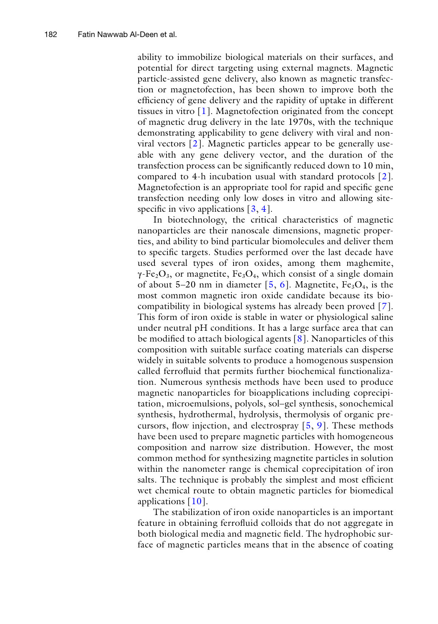ability to immobilize biological materials on their surfaces, and potential for direct targeting using external magnets. Magnetic particle-assisted gene delivery, also known as magnetic transfection or magnetofection, has been shown to improve both the efficiency of gene delivery and the rapidity of uptake in different tissues in vitro [\[1](#page-13-0)]. Magnetofection originated from the concept of magnetic drug delivery in the late 1970s, with the technique demonstrating applicability to gene delivery with viral and nonviral vectors [\[2](#page-13-1)]. Magnetic particles appear to be generally useable with any gene delivery vector, and the duration of the transfection process can be significantly reduced down to 10 min, compared to 4-h incubation usual with standard protocols [\[2](#page-13-1)]. Magnetofection is an appropriate tool for rapid and specific gene transfection needing only low doses in vitro and allowing sitespecific in vivo applications  $[3, 4]$  $[3, 4]$  $[3, 4]$  $[3, 4]$ .

In biotechnology, the critical characteristics of magnetic nanoparticles are their nanoscale dimensions, magnetic properties, and ability to bind particular biomolecules and deliver them to specific targets. Studies performed over the last decade have used several types of iron oxides, among them maghemite,  $\gamma$ -Fe<sub>2</sub>O<sub>3</sub>, or magnetite, Fe<sub>3</sub>O<sub>4</sub>, which consist of a single domain of about 5–20 nm in diameter  $[5, 6]$  $[5, 6]$  $[5, 6]$  $[5, 6]$ . Magnetite, Fe<sub>3</sub>O<sub>4</sub>, is the most common magnetic iron oxide candidate because its biocompatibility in biological systems has already been proved [\[7](#page-13-6)]. This form of iron oxide is stable in water or physiological saline under neutral pH conditions. It has a large surface area that can be modified to attach biological agents [[8\]](#page-13-7). Nanoparticles of this composition with suitable surface coating materials can disperse widely in suitable solvents to produce a homogenous suspension called ferrofluid that permits further biochemical functionalization. Numerous synthesis methods have been used to produce magnetic nanoparticles for bioapplications including coprecipitation, microemulsions, polyols, sol–gel synthesis, sonochemical synthesis, hydrothermal, hydrolysis, thermolysis of organic precursors, flow injection, and electrospray [[5,](#page-13-4) [9\]](#page-13-8). These methods have been used to prepare magnetic particles with homogeneous composition and narrow size distribution. However, the most common method for synthesizing magnetite particles in solution within the nanometer range is chemical coprecipitation of iron salts. The technique is probably the simplest and most efficient wet chemical route to obtain magnetic particles for biomedical applications [[10\]](#page-13-9).

The stabilization of iron oxide nanoparticles is an important feature in obtaining ferrofluid colloids that do not aggregate in both biological media and magnetic field. The hydrophobic surface of magnetic particles means that in the absence of coating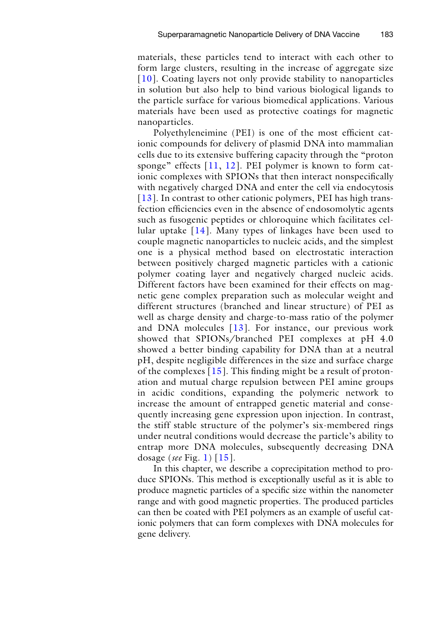materials, these particles tend to interact with each other to form large clusters, resulting in the increase of aggregate size [[10](#page-13-9)]. Coating layers not only provide stability to nanoparticles in solution but also help to bind various biological ligands to the particle surface for various biomedical applications. Various materials have been used as protective coatings for magnetic nanoparticles.

Polyethyleneimine (PEI) is one of the most efficient cationic compounds for delivery of plasmid DNA into mammalian cells due to its extensive buffering capacity through the "proton sponge" effects [[11](#page-13-10), [12\]](#page-13-11). PEI polymer is known to form cationic complexes with SPIONs that then interact nonspecifically with negatively charged DNA and enter the cell via endocytosis [[13](#page-13-12)]. In contrast to other cationic polymers, PEI has high transfection efficiencies even in the absence of endosomolytic agents such as fusogenic peptides or chloroquine which facilitates cellular uptake  $[14]$  $[14]$ . Many types of linkages have been used to couple magnetic nanoparticles to nucleic acids, and the simplest one is a physical method based on electrostatic interaction between positively charged magnetic particles with a cationic polymer coating layer and negatively charged nucleic acids. Different factors have been examined for their effects on magnetic gene complex preparation such as molecular weight and different structures (branched and linear structure) of PEI as well as charge density and charge-to-mass ratio of the polymer and DNA molecules [[13\]](#page-13-12). For instance, our previous work showed that SPIONs/branched PEI complexes at pH 4.0 showed a better binding capability for DNA than at a neutral pH, despite negligible differences in the size and surface charge of the complexes [[15\]](#page-13-14). This finding might be a result of protonation and mutual charge repulsion between PEI amine groups in acidic conditions, expanding the polymeric network to increase the amount of entrapped genetic material and consequently increasing gene expression upon injection. In contrast, the stiff stable structure of the polymer's six-membered rings under neutral conditions would decrease the particle's ability to entrap more DNA molecules, subsequently decreasing DNA dosage (*see* Fig. [1](#page-3-0)) [[15](#page-13-14)].

In this chapter, we describe a coprecipitation method to produce SPIONs. This method is exceptionally useful as it is able to produce magnetic particles of a specific size within the nanometer range and with good magnetic properties. The produced particles can then be coated with PEI polymers as an example of useful cationic polymers that can form complexes with DNA molecules for gene delivery.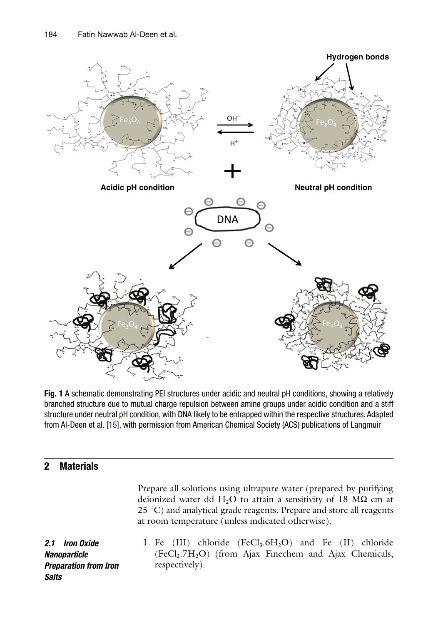<span id="page-3-0"></span>

**Fig. 1** A schematic demonstrating PEI structures under acidic and neutral pH conditions, showing a relatively branched structure due to mutual charge repulsion between amine groups under acidic condition and a stiff structure under neutral pH condition, with DNA likely to be entrapped within the respective structures. Adapted from Al-Deen et al. [\[15\]](#page-13-14), with permission from American Chemical Society (ACS) publications of Langmuir

# **2 Materials**

Prepare all solutions using ultrapure water (prepared by purifying deionized water dd H<sub>2</sub>O to attain a sensitivity of 18 M $\Omega$  cm at  $25 \degree C$ ) and analytical grade reagents. Prepare and store all reagents at room temperature (unless indicated otherwise).

*2.1 Iron Oxide Nanoparticle Preparation from Iron Salts*

1. Fe (III) chloride  $(FeCl<sub>3</sub>.6H<sub>2</sub>O)$  and Fe (II) chloride  $(FeCl<sub>2</sub>.7H<sub>2</sub>O)$  (from Ajax Finechem and Ajax Chemicals, respectively).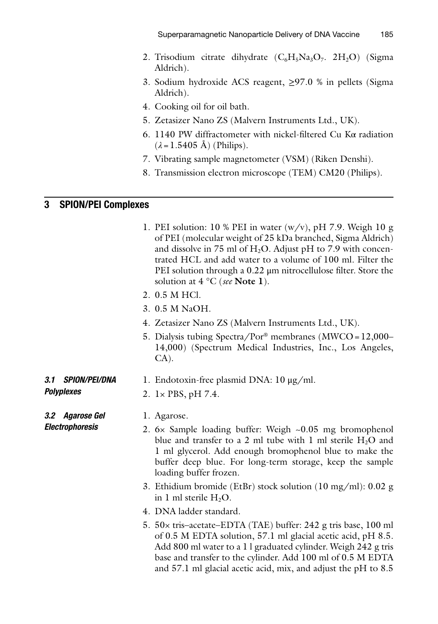- 2. Trisodium citrate dihydrate  $(C_6H_5Na_3O_7$ .  $2H_2O$ ) (Sigma Aldrich).
- 3. Sodium hydroxide ACS reagent, ≥97.0 % in pellets (Sigma Aldrich).
- 4. Cooking oil for oil bath.
- 5. Zetasizer Nano ZS (Malvern Instruments Ltd., UK).
- 6. 1140 PW diffractometer with nickel-filtered Cu Kα radiation  $(\lambda = 1.5405 \text{ Å})$  (Philips).
- 7. Vibrating sample magnetometer (VSM) (Riken Denshi).
- 8. Transmission electron microscope (TEM) CM20 (Philips).

# **3 SPION/PEI Complexes**

- 1. PEI solution: 10 % PEI in water  $(w/v)$ , pH 7.9. Weigh 10 g of PEI (molecular weight of 25 kDa branched, Sigma Aldrich) and dissolve in 75 ml of  $H_2O$ . Adjust pH to 7.9 with concentrated HCL and add water to a volume of 100 ml. Filter the PEI solution through a 0.22 μm nitrocellulose filter. Store the solution at 4 °C (*see* **Note 1**).
- 2. 0.5 M HCl.
- 3. 0.5 M NaOH.
- 4. Zetasizer Nano ZS (Malvern Instruments Ltd., UK).
- 5. Dialysis tubing Spectra/Por® membranes (MWCO=12,000– 14,000) (Spectrum Medical Industries, Inc., Los Angeles, CA).

#### 1. Endotoxin-free plasmid DNA: 10 μg/ml. *3.1 SPION/PEI/DNA*

2. 1× PBS, pH 7.4.

1. Agarose.

- <span id="page-4-0"></span>2. 6× Sample loading buffer: Weigh ~0.05 mg bromophenol blue and transfer to a 2 ml tube with 1 ml sterile  $H_2O$  and 1 ml glycerol. Add enough bromophenol blue to make the buffer deep blue. For long-term storage, keep the sample loading buffer frozen.
- 3. Ethidium bromide (EtBr) stock solution (10 mg/ml): 0.02 g in 1 ml sterile  $H_2O$ .
- 4. DNA ladder standard.
- 5. 50× tris–acetate–EDTA (TAE) buffer: 242 g tris base, 100 ml of 0.5 M EDTA solution, 57.1 ml glacial acetic acid, pH 8.5. Add 800 ml water to a 1 l graduated cylinder. Weigh 242 g tris base and transfer to the cylinder. Add 100 ml of 0.5 M EDTA and 57.1 ml glacial acetic acid, mix, and adjust the pH to 8.5

*3.2 Agarose Gel* 

*Electrophoresis*

*Polyplexes*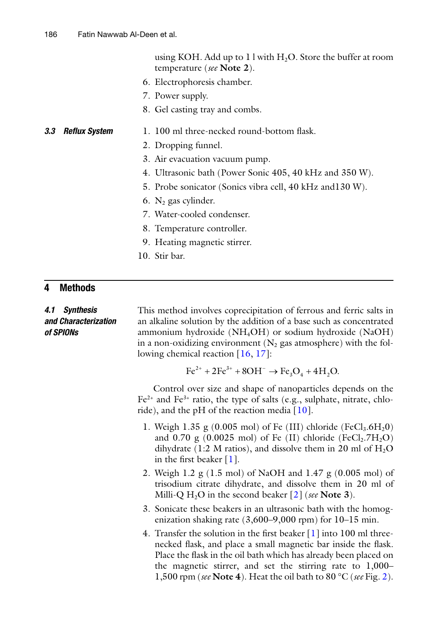using KOH. Add up to 1 l with  $H_2O$ . Store the buffer at room temperature (*see* **Note 2**).

- 6. Electrophoresis chamber.
- 7. Power supply.
- 8. Gel casting tray and combs.

#### 1. 100 ml three-necked round-bottom flask. *3.3 Reflux System*

- 2. Dropping funnel.
- 3. Air evacuation vacuum pump.
- 4. Ultrasonic bath (Power Sonic 405, 40 kHz and 350 W).
- 5. Probe sonicator (Sonics vibra cell, 40 kHz and130 W).
- 6.  $N_2$  gas cylinder.
- 7. Water-cooled condenser.
- 8. Temperature controller.
- 9. Heating magnetic stirrer.
- 10. Stir bar.

## **4 Methods**

### *4.1 Synthesis and Characterization of SPIONs*

This method involves coprecipitation of ferrous and ferric salts in an alkaline solution by the addition of a base such as concentrated ammonium hydroxide (NH4OH) or sodium hydroxide (NaOH) in a non-oxidizing environment  $(N_2)$  gas atmosphere) with the following chemical reaction [\[16,](#page-13-15) [17](#page-13-16)]:

 $\text{Fe}^{2+} + 2\text{Fe}^{3+} + 8\text{OH}^- \rightarrow \text{Fe}_3\text{O}_4 + 4\text{H}_2\text{O}.$ 

Control over size and shape of nanoparticles depends on the  $Fe<sup>2+</sup>$  and  $Fe<sup>3+</sup>$  ratio, the type of salts (e.g., sulphate, nitrate, chloride), and the pH of the reaction media  $[10]$  $[10]$ .

- 1. Weigh 1.35 g (0.005 mol) of Fe (III) chloride (FeCl<sub>3</sub>.6H<sub>2</sub>0) and 0.70 g  $(0.0025 \text{ mol})$  of Fe (II) chloride (FeCl<sub>2</sub>.7H<sub>2</sub>O) dihydrate (1:2 M ratios), and dissolve them in 20 ml of  $H_2O$ in the first beaker [\[1](#page-13-0)].
- 2. Weigh 1.2 g (1.5 mol) of NaOH and 1.47 g (0.005 mol) of trisodium citrate dihydrate, and dissolve them in 20 ml of Milli-Q  $H_2O$  in the second beaker  $\lceil 2 \rceil$  (*see* **Note 3**).
- 3. Sonicate these beakers in an ultrasonic bath with the homogenization shaking rate (3,600–9,000 rpm) for 10–15 min.
- 4. Transfer the solution in the first beaker [\[1](#page-13-0)] into 100 ml threenecked flask, and place a small magnetic bar inside the flask. Place the flask in the oil bath which has already been placed on the magnetic stirrer, and set the stirring rate to 1,000– 1,500 rpm (*see* **Note 4**). Heat the oil bath to 80 °C (*see* Fig. [2\)](#page-6-0).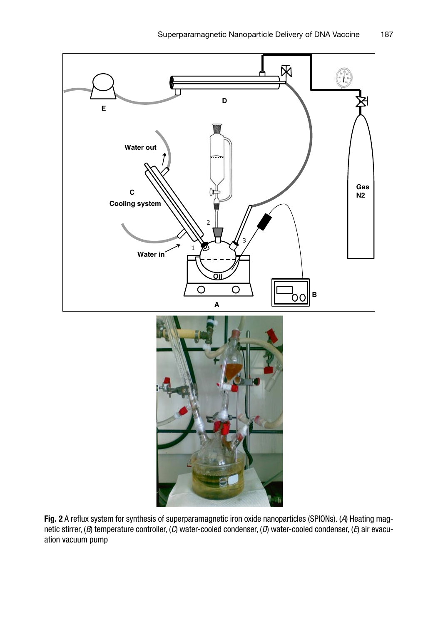<span id="page-6-0"></span>

**Fig. 2** A reflux system for synthesis of superparamagnetic iron oxide nanoparticles (SPIONs). (*A*) Heating magnetic stirrer, (*B*) temperature controller, (*C*) water-cooled condenser, (*D*) water-cooled condenser, (*E*) air evacuation vacuum pump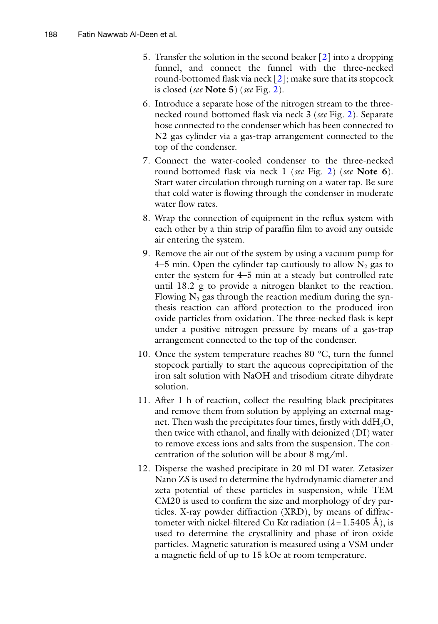- 5. Transfer the solution in the second beaker [[2](#page-13-1)] into a dropping funnel, and connect the funnel with the three-necked round-bottomed flask via neck  $[2]$  $[2]$ ; make sure that its stopcock is closed (*see* **Note 5**) (*see* Fig. [2\)](#page-6-0).
- 6. Introduce a separate hose of the nitrogen stream to the threenecked round-bottomed flask via neck 3 (*see* Fig. [2](#page-6-0)). Separate hose connected to the condenser which has been connected to N2 gas cylinder via a gas-trap arrangement connected to the top of the condenser.
- 7. Connect the water-cooled condenser to the three-necked round-bottomed flask via neck 1 (*see* Fig. [2](#page-6-0)) (*see* **Note 6**). Start water circulation through turning on a water tap. Be sure that cold water is flowing through the condenser in moderate water flow rates.
- 8. Wrap the connection of equipment in the reflux system with each other by a thin strip of paraffin film to avoid any outside air entering the system.
- 9. Remove the air out of the system by using a vacuum pump for 4–5 min. Open the cylinder tap cautiously to allow  $N_2$  gas to enter the system for 4–5 min at a steady but controlled rate until 18.2 g to provide a nitrogen blanket to the reaction. Flowing  $N_2$  gas through the reaction medium during the synthesis reaction can afford protection to the produced iron oxide particles from oxidation. The three-necked flask is kept under a positive nitrogen pressure by means of a gas-trap arrangement connected to the top of the condenser.
- 10. Once the system temperature reaches 80 °C, turn the funnel stopcock partially to start the aqueous coprecipitation of the iron salt solution with NaOH and trisodium citrate dihydrate solution.
- 11. After 1 h of reaction, collect the resulting black precipitates and remove them from solution by applying an external magnet. Then wash the precipitates four times, firstly with  $ddH_2O$ , then twice with ethanol, and finally with deionized (DI) water to remove excess ions and salts from the suspension. The concentration of the solution will be about 8 mg/ml.
- 12. Disperse the washed precipitate in 20 ml DI water. Zetasizer Nano ZS is used to determine the hydrodynamic diameter and zeta potential of these particles in suspension, while TEM CM20 is used to confirm the size and morphology of dry particles. X-ray powder diffraction (XRD), by means of diffractometer with nickel-filtered Cu Kα radiation  $(λ = 1.5405 Å)$ , is used to determine the crystallinity and phase of iron oxide particles. Magnetic saturation is measured using a VSM under a magnetic field of up to 15 kOe at room temperature.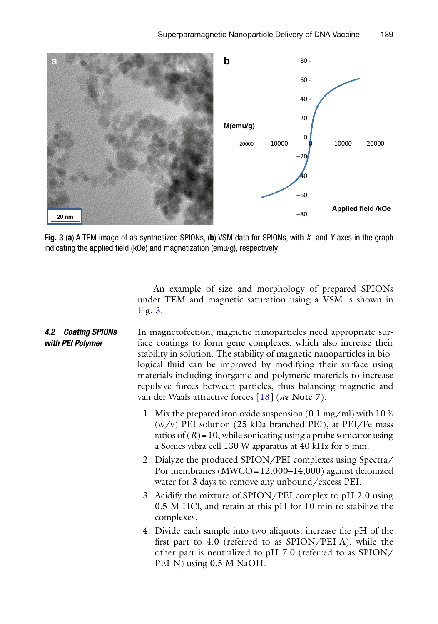<span id="page-8-0"></span>

**Fig. 3** (**a**) A TEM image of as-synthesized SPIONs, (**b**) VSM data for SPIONs, with *X*- and *Y*-axes in the graph indicating the applied field (kOe) and magnetization (emu/g), respectively

An example of size and morphology of prepared SPIONs under TEM and magnetic saturation using a VSM is shown in Fig. [3.](#page-8-0)

- In magnetofection, magnetic nanoparticles need appropriate surface coatings to form gene complexes, which also increase their stability in solution. The stability of magnetic nanoparticles in biological fluid can be improved by modifying their surface using materials including inorganic and polymeric materials to increase repulsive forces between particles, thus balancing magnetic and van der Waals attractive forces [\[18](#page-13-17)] (*see* **Note 7**). *4.2 Coating SPIONs with PEI Polymer*
	- 1. Mix the prepared iron oxide suspension (0.1 mg/ml) with 10 %  $(w/v)$  PEI solution (25 kDa branched PEI), at PEI/Fe mass ratios of  $(R)$  = 10, while sonicating using a probe sonicator using a Sonics vibra cell 130 W apparatus at 40 kHz for 5 min.
	- 2. Dialyze the produced SPION/PEI complexes using Spectra/ Por membranes (MWCO=12,000–14,000) against deionized water for 3 days to remove any unbound/excess PEI.
	- 3. Acidify the mixture of SPION/PEI complex to pH 2.0 using 0.5 M HCl, and retain at this pH for 10 min to stabilize the complexes.
	- 4. Divide each sample into two aliquots: increase the pH of the first part to 4.0 (referred to as SPION/PEI-A), while the other part is neutralized to pH 7.0 (referred to as SPION/ PEI-N) using 0.5 M NaOH.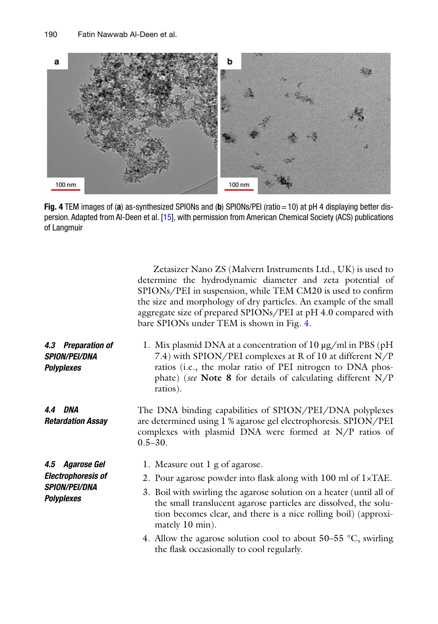<span id="page-9-0"></span>

**Fig. 4** TEM images of (**a**) as-synthesized SPIONs and (**b**) SPIONs/PEI (ratio=10) at pH 4 displaying better dispersion. Adapted from Al-Deen et al. [\[15\]](#page-13-14), with permission from American Chemical Society (ACS) publications of Langmuir

|                                                                                           | Zetasizer Nano ZS (Malvern Instruments Ltd., UK) is used to<br>determine the hydrodynamic diameter and zeta potential of<br>SPIONs/PEI in suspension, while TEM CM20 is used to confirm<br>the size and morphology of dry particles. An example of the small<br>aggregate size of prepared SPIONs/PEI at pH 4.0 compared with<br>bare SPIONs under TEM is shown in Fig. 4.                                                                         |
|-------------------------------------------------------------------------------------------|----------------------------------------------------------------------------------------------------------------------------------------------------------------------------------------------------------------------------------------------------------------------------------------------------------------------------------------------------------------------------------------------------------------------------------------------------|
| Preparation of<br>4.3<br><b>SPION/PEI/DNA</b><br><b>Polyplexes</b>                        | 1. Mix plasmid DNA at a concentration of 10 $\mu$ g/ml in PBS (pH<br>7.4) with SPION/PEI complexes at R of 10 at different N/P<br>ratios (i.e., the molar ratio of PEI nitrogen to DNA phos-<br>phate) (see Note 8 for details of calculating different $N/P$<br>ratios).                                                                                                                                                                          |
| 4.4 DNA<br><b>Retardation Assay</b>                                                       | The DNA binding capabilities of SPION/PEI/DNA polyplexes<br>are determined using 1 % agarose gel electrophoresis. SPION/PEI<br>complexes with plasmid DNA were formed at N/P ratios of<br>$0.5 - 30.$                                                                                                                                                                                                                                              |
| 4.5 Agarose Gel<br><b>Electrophoresis of</b><br><b>SPION/PEI/DNA</b><br><b>Polyplexes</b> | 1. Measure out 1 g of agarose.<br>2. Pour agarose powder into flask along with 100 ml of 1×TAE.<br>3. Boil with swirling the agarose solution on a heater (until all of<br>the small translucent agarose particles are dissolved, the solu-<br>tion becomes clear, and there is a nice rolling boil) (approxi-<br>mately 10 min).<br>4. Allow the agarose solution cool to about $50-55$ °C, swirling<br>the flask occasionally to cool regularly. |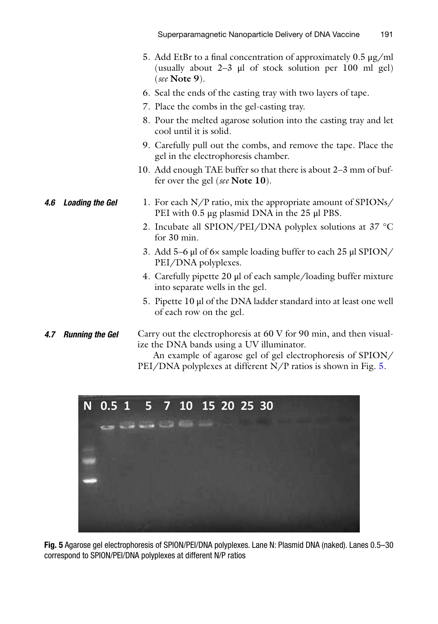- 5. Add EtBr to a final concentration of approximately 0.5 μg/ml (usually about  $2-3$   $\mu$  of stock solution per 100 ml gel) (*see* **Note 9**).
- 6. Seal the ends of the casting tray with two layers of tape.
- 7. Place the combs in the gel-casting tray.
- 8. Pour the melted agarose solution into the casting tray and let cool until it is solid.
- 9. Carefully pull out the combs, and remove the tape. Place the gel in the electrophoresis chamber.
- 10. Add enough TAE buffer so that there is about 2–3 mm of buffer over the gel (*see* **Note 10**).

#### 1. For each N/P ratio, mix the appropriate amount of SPIONs/ PEI with 0.5 μg plasmid DNA in the 25 μl PBS. *4.6 Loading the Gel*

- 2. Incubate all SPION/PEI/DNA polyplex solutions at 37 °C for 30 min.
- 3. Add 5–6 μl of 6× sample loading buffer to each 25 μl SPION/ PEI/DNA polyplexes.
- 4. Carefully pipette 20 μl of each sample/loading buffer mixture into separate wells in the gel.
- 5. Pipette 10 μl of the DNA ladder standard into at least one well of each row on the gel.

### Carry out the electrophoresis at 60 V for 90 min, and then visualize the DNA bands using a UV illuminator. *4.7 Running the Gel*

An example of agarose gel of gel electrophoresis of SPION/ PEI/DNA polyplexes at different N/P ratios is shown in Fig. [5.](#page-10-0)

<span id="page-10-0"></span>

**Fig. 5** Agarose gel electrophoresis of SPION/PEI/DNA polyplexes. Lane N: Plasmid DNA (naked). Lanes 0.5–30 correspond to SPION/PEI/DNA polyplexes at different N/P ratios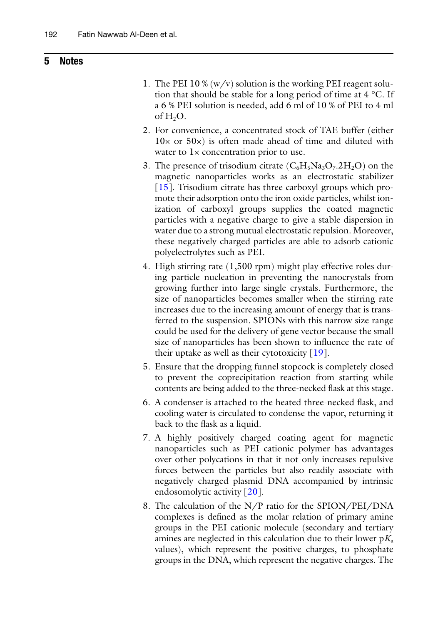# **5 Notes**

- 1. The PEI 10 % (w/v) solution is the working PEI reagent solution that should be stable for a long period of time at  $4^{\circ}$ C. If a 6 % PEI solution is needed, add 6 ml of 10 % of PEI to 4 ml of  $H_2O$ .
- 2. For convenience, a concentrated stock of TAE buffer (either  $10\times$  or  $50\times$ ) is often made ahead of time and diluted with water to  $1 \times$  concentration prior to use.
- 3. The presence of trisodium citrate  $(C_6H_5Na_3O_7.2H_2O)$  on the magnetic nanoparticles works as an electrostatic stabilizer [[15](#page-13-14)]. Trisodium citrate has three carboxyl groups which promote their adsorption onto the iron oxide particles, whilst ionization of carboxyl groups supplies the coated magnetic particles with a negative charge to give a stable dispersion in water due to a strong mutual electrostatic repulsion. Moreover, these negatively charged particles are able to adsorb cationic polyelectrolytes such as PEI.
- 4. High stirring rate (1,500 rpm) might play effective roles during particle nucleation in preventing the nanocrystals from growing further into large single crystals. Furthermore, the size of nanoparticles becomes smaller when the stirring rate increases due to the increasing amount of energy that is transferred to the suspension. SPIONs with this narrow size range could be used for the delivery of gene vector because the small size of nanoparticles has been shown to influence the rate of their uptake as well as their cytotoxicity [\[19\]](#page-13-18).
- 5. Ensure that the dropping funnel stopcock is completely closed to prevent the coprecipitation reaction from starting while contents are being added to the three-necked flask at this stage.
- 6. A condenser is attached to the heated three-necked flask, and cooling water is circulated to condense the vapor, returning it back to the flask as a liquid.
- 7. A highly positively charged coating agent for magnetic nanoparticles such as PEI cationic polymer has advantages over other polycations in that it not only increases repulsive forces between the particles but also readily associate with negatively charged plasmid DNA accompanied by intrinsic endosomolytic activity [\[20](#page-13-19)].
- 8. The calculation of the N/P ratio for the SPION/PEI/DNA complexes is defined as the molar relation of primary amine groups in the PEI cationic molecule (secondary and tertiary amines are neglected in this calculation due to their lower  $pK_a$ values), which represent the positive charges, to phosphate groups in the DNA, which represent the negative charges. The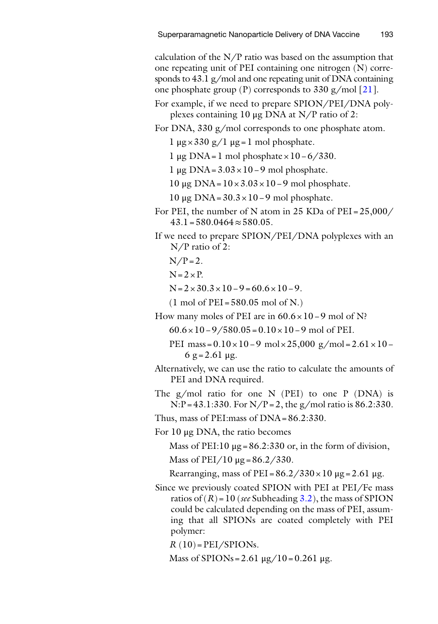calculation of the  $N/P$  ratio was based on the assumption that one repeating unit of PEI containing one nitrogen (N) corresponds to 43.1 g/mol and one repeating unit of DNA containing one phosphate group (P) corresponds to 330 g/mol [\[21\]](#page-13-20).

- For example, if we need to prepare SPION/PEI/DNA polyplexes containing 10 μg DNA at N/P ratio of 2:
- For DNA, 330 g/mol corresponds to one phosphate atom.
	- 1 μg×330 g/1 μg=1 mol phosphate.
	- 1 μg DNA=1 mol phosphate×10−6/330.
	- 1 μg DNA=3.03×10−9 mol phosphate.

10 μg DNA=10×3.03×10−9 mol phosphate.

10 μg DNA=30.3×10−9 mol phosphate.

- For PEI, the number of N atom in 25 KDa of PEI =  $25,000/$  $43.1=580.0464\approx 580.05$ .
- If we need to prepare SPION/PEI/DNA polyplexes with an N/P ratio of 2:
	- $N/P = 2$ .
	- $N=2\times P$ .
	- $N=2\times30.3\times10-9=60.6\times10-9.$
	- $(1 \text{ mol of PEI} = 580.05 \text{ mol of N.})$

How many moles of PEI are in 60.6×10−9 mol of N?

60.6×10−9/580.05=0.10×10−9 mol of PEI.

- PEI mass=0.10×10−9 mol×25,000 g/mol=2.61×10−  $6$  g = 2.61 μg.
- Alternatively, we can use the ratio to calculate the amounts of PEI and DNA required.
- The  $g/mol$  ratio for one N (PEI) to one P (DNA) is  $N:P = 43.1:330$ . For  $N/P = 2$ , the g/mol ratio is 86.2:330.

Thus, mass of PEI:mass of DNA=86.2:330.

For 10 μg DNA, the ratio becomes

Mass of PEI:10  $\mu$ g = 86.2:330 or, in the form of division,

Mass of  $PEI/10 \mu g = 86.2/330$ .

Rearranging, mass of PEI =  $86.2 / 330 \times 10 \mu$ g = 2.61 μg.

Since we previously coated SPION with PEI at PEI/Fe mass ratios of  $(R)$  = 10 (*see* Subheading [3.2](#page-4-0)), the mass of SPION could be calculated depending on the mass of PEI, assuming that all SPIONs are coated completely with PEI polymer:

 $R(10) = PEI/SPIONs.$ 

Mass of SPIONs = 2.61  $\mu$ g/10 = 0.261  $\mu$ g.